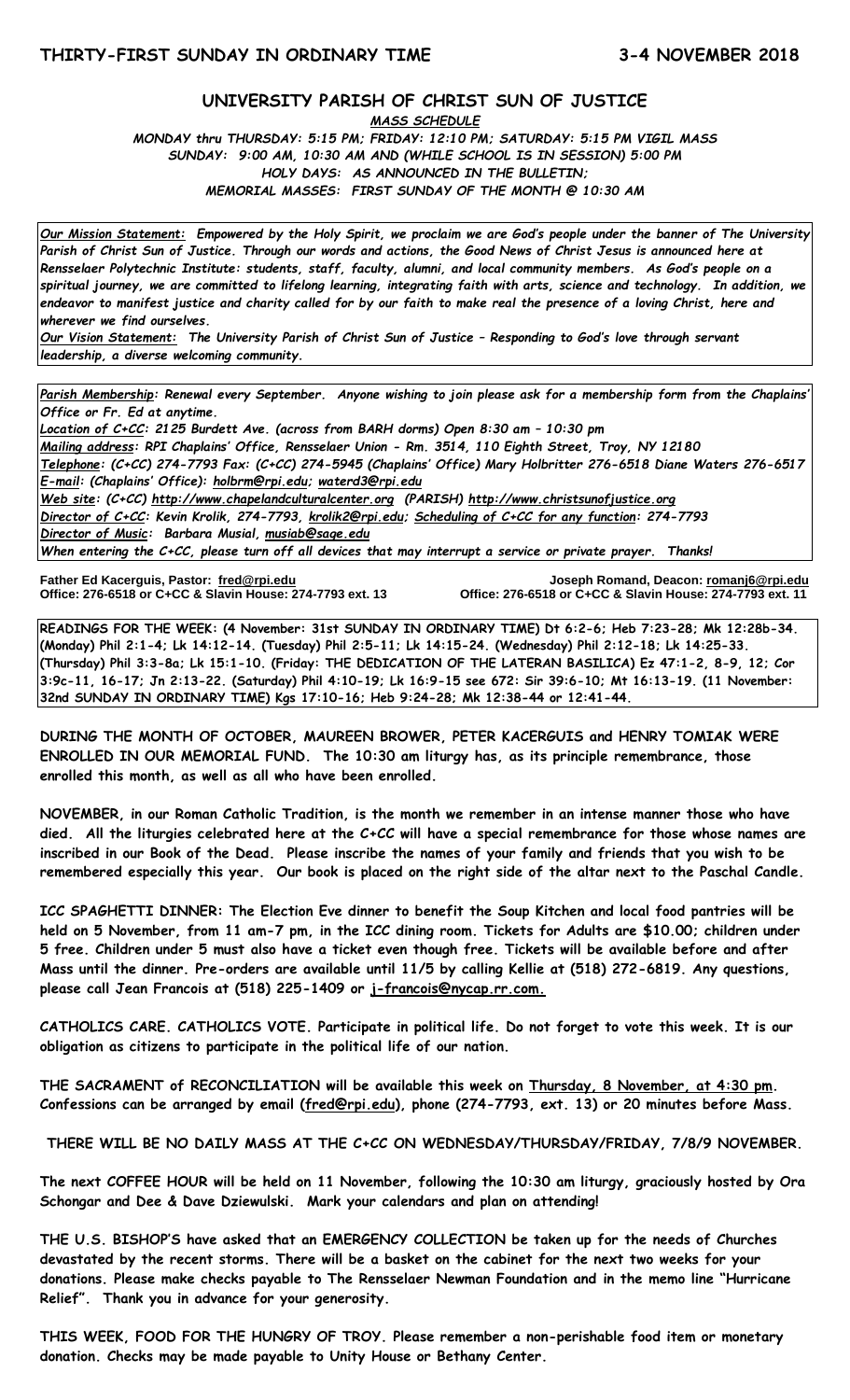## **UNIVERSITY PARISH OF CHRIST SUN OF JUSTICE**

*MASS SCHEDULE MONDAY thru THURSDAY: 5:15 PM; FRIDAY: 12:10 PM; SATURDAY: 5:15 PM VIGIL MASS SUNDAY: 9:00 AM, 10:30 AM AND (WHILE SCHOOL IS IN SESSION) 5:00 PM HOLY DAYS: AS ANNOUNCED IN THE BULLETIN; MEMORIAL MASSES: FIRST SUNDAY OF THE MONTH @ 10:30 AM*

*Our Mission Statement:**Empowered by the Holy Spirit, we proclaim we are God's people under the banner of The University Parish of Christ Sun of Justice. Through our words and actions, the Good News of Christ Jesus is announced here at Rensselaer Polytechnic Institute: students, staff, faculty, alumni, and local community members. As God's people on a spiritual journey, we are committed to lifelong learning, integrating faith with arts, science and technology. In addition, we endeavor to manifest justice and charity called for by our faith to make real the presence of a loving Christ, here and wherever we find ourselves.*

*Our Vision Statement: The University Parish of Christ Sun of Justice – Responding to God's love through servant leadership, a diverse welcoming community.*

*Parish Membership: Renewal every September. Anyone wishing to join please ask for a membership form from the Chaplains' Office or Fr. Ed at anytime.*

*Location of C+CC: 2125 Burdett Ave. (across from BARH dorms) Open 8:30 am – 10:30 pm Mailing address: RPI Chaplains' Office, Rensselaer Union - Rm. 3514, 110 Eighth Street, Troy, NY 12180 Telephone: (C+CC) 274-7793 Fax: (C+CC) 274-5945 (Chaplains' Office) Mary Holbritter 276-6518 Diane Waters 276-6517 E-mail: (Chaplains' Office): [holbrm@rpi.edu;](mailto:holbrm@rpi.edu) waterd3@rpi.edu Web site: (C+CC) [http://www.chapelandculturalcenter.org](http://www.chapelandculturalcenter.org/) (PARISH) http://www.christsunofjustice.org Director of C+CC: Kevin Krolik, 274-7793, krolik2@rpi.edu; Scheduling of C+CC for any function: 274-7793 Director of Music: Barbara Musial, [musiab@sage.edu](mailto:musiab@sage.edu) When entering the C+CC, please turn off all devices that may interrupt a service or private prayer. Thanks!* 

Father Ed Kacerguis, Pastor: fred@rpi.edu **Office: 276-6518 or C+CC & Slavin House: 274-7793 ext. 13** 

Joseph Romand, Deacon: **romanj6@rpi.edu**<br>Office: 276-6518 or C+CC & Slavin House: 274-7793 ext. 11

**READINGS FOR THE WEEK: (4 November: 31st SUNDAY IN ORDINARY TIME) Dt 6:2-6; Heb 7:23-28; Mk 12:28b-34. (Monday) Phil 2:1-4; Lk 14:12-14. (Tuesday) Phil 2:5-11; Lk 14:15-24. (Wednesday) Phil 2:12-18; Lk 14:25-33. (Thursday) Phil 3:3-8a; Lk 15:1-10. (Friday: THE DEDICATION OF THE LATERAN BASILICA) Ez 47:1-2, 8-9, 12; Cor 3:9c-11, 16-17; Jn 2:13-22. (Saturday) Phil 4:10-19; Lk 16:9-15 see 672: Sir 39:6-10; Mt 16:13-19. (11 November: 32nd SUNDAY IN ORDINARY TIME) Kgs 17:10-16; Heb 9:24-28; Mk 12:38-44 or 12:41-44.** 

**DURING THE MONTH OF OCTOBER, MAUREEN BROWER, PETER KACERGUIS and HENRY TOMIAK WERE ENROLLED IN OUR MEMORIAL FUND. The 10:30 am liturgy has, as its principle remembrance, those enrolled this month, as well as all who have been enrolled.**

**NOVEMBER, in our Roman Catholic Tradition, is the month we remember in an intense manner those who have died. All the liturgies celebrated here at the C+CC will have a special remembrance for those whose names are inscribed in our Book of the Dead. Please inscribe the names of your family and friends that you wish to be remembered especially this year. Our book is placed on the right side of the altar next to the Paschal Candle.**

**ICC SPAGHETTI DINNER: The Election Eve dinner to benefit the Soup Kitchen and local food pantries will be held on 5 November, from 11 am-7 pm, in the ICC dining room. Tickets for Adults are \$10.00; children under 5 free. Children under 5 must also have a ticket even though free. Tickets will be available before and after Mass until the dinner. Pre-orders are available until 11/5 by calling Kellie at (518) 272-6819. Any questions, please call Jean Francois at (518) 225-1409 or [j-francois@nycap.rr.com.](mailto:j-francois@nycap.rr.com)**

**CATHOLICS CARE. CATHOLICS VOTE. Participate in political life. Do not forget to vote this week. It is our obligation as citizens to participate in the political life of our nation.**

**THE SACRAMENT of RECONCILIATION will be available this week on Thursday, 8 November, at 4:30 pm. Confessions can be arranged by email [\(fred@rpi.edu\)](mailto:fred@rpi.edu), phone (274-7793, ext. 13) or 20 minutes before Mass.**

**THERE WILL BE NO DAILY MASS AT THE C+CC ON WEDNESDAY/THURSDAY/FRIDAY, 7/8/9 NOVEMBER.**

**The next COFFEE HOUR will be held on 11 November, following the 10:30 am liturgy, graciously hosted by Ora Schongar and Dee & Dave Dziewulski. Mark your calendars and plan on attending!**

**THE U.S. BISHOP'S have asked that an EMERGENCY COLLECTION be taken up for the needs of Churches devastated by the recent storms. There will be a basket on the cabinet for the next two weeks for your donations. Please make checks payable to The Rensselaer Newman Foundation and in the memo line "Hurricane Relief". Thank you in advance for your generosity.** 

**THIS WEEK, FOOD FOR THE HUNGRY OF TROY. Please remember a non-perishable food item or monetary donation. Checks may be made payable to Unity House or Bethany Center.**